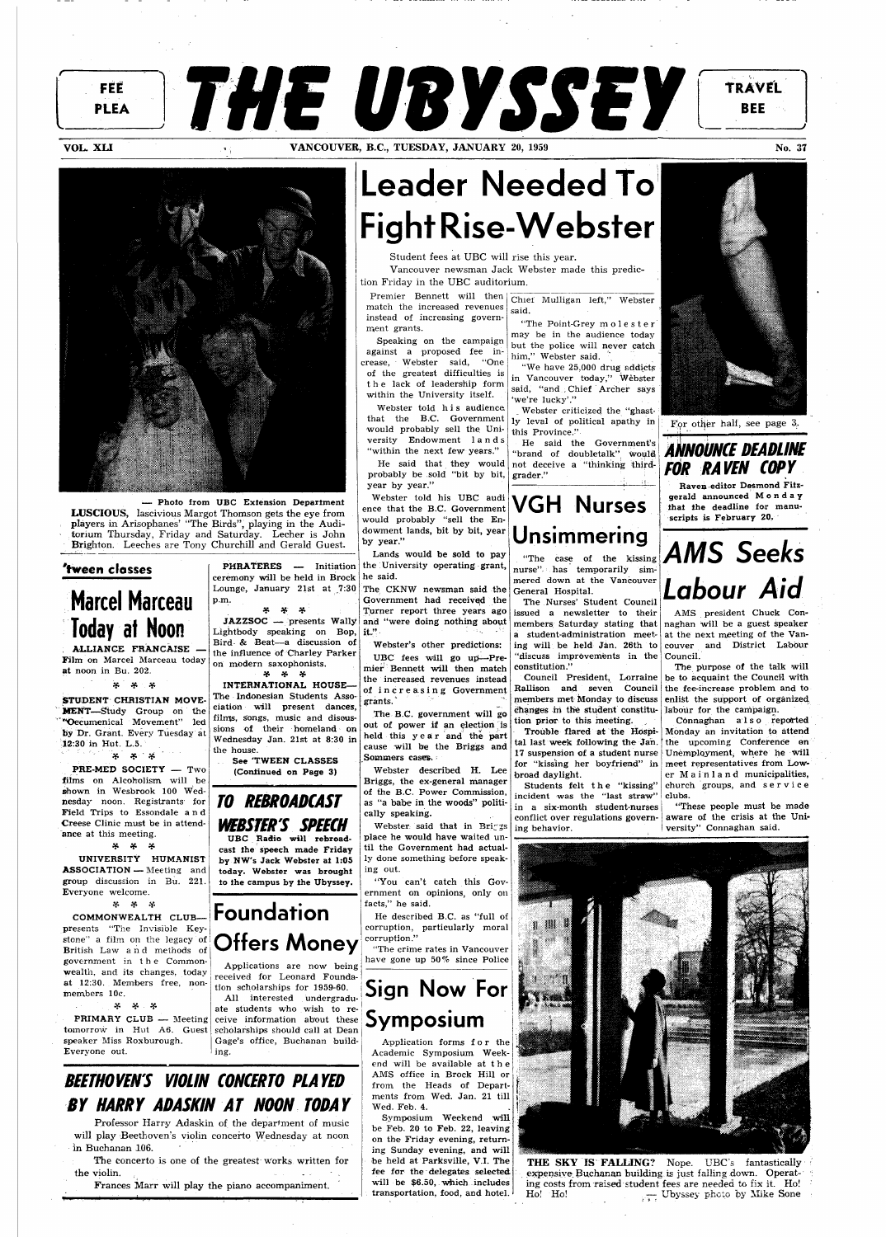**FEE PLEA** 

VOL. XLI VANCOUVER, B.C., TUESDAY, JANUARY 20, 1959





**BEE** 

# **Leader Needed To Fight Rise-Webster**

Vancouver newsman Jack Webster made this prediction Friday in the UBC auditorium.

•— Photo from UBC Extension Department LUSCIOUS, lascivious Margot Thomson gets the eye from players in Arisophanes' "The Birds", playing in the Auditorium Thursday, Friday and Saturday. Lecher is John Brighton. Leeches are Tony Churchill and Gerald Guest. Student fees at UBC will rise this year.

PRE-MED SOCIETY - Two films on Alcoholism will be shown in Wesbrook 100 Wednesday noon. Registrants for Field Trips to Essondale an d Creese Clinic must be in attendance at this meeting.

#### **'tween dosses**

## **Marcel Marceau Today at Noon**

ALLIANCE FRANCAISE — Film on Marcel Marceau today at noon in Bu. 202.

**V \*& ^r** 

STUDENT CHRISTIAN MOVE-MENT—-Study Group on the "Oecumenical Movement" led by Dr. Grant. Every Tuesday at 12:30 in Hut. L.5. **•t\* \*\*• \*t\*** 

**•"> \*P** *\*v* 

UNIVERSITY HUMANIST ASSOCIATION — Meeting and group discussion in Bu. 221. Everyone welcome.

**•¥• V** *'T'* 

**PRIMARY CLUB** — Meeting ceive information about these Applications are now being received for Leonard Foundation scholarships for 1959-60. All interested undergraduate students who wish to rescholarships should call at Dean Gage's office, Buchanan building.

presents "The Invisible Keystone'' a film on the legacy of British Law an d methods of government in th e Commonwealth, and its changes, today at 12:30. Members free, nonmembers 10c.

**3f\* v 3r** 

tomorrow in Hut A6. Guest speaker Miss Roxburough. Everyone out.

COMMONWEALTH CLUB— **Foundation Offers Money**  Webster's other predictions: UBC fees will go up-Pre-

**V V "TT\***  INTERNATIONAL HOUSE— The Indonesian Students Association will present dances, films, songs, music and discussions of their homeland on Wednesday Jan. 21st at 8:30 in the house.

The B.C. government will go out of power if an election is held this yea r and the part cause will be the Briggs and

See 'TWEEN CLASSES (Continued on Page 3)

## **TO REBR0ADCAST WEBSTER'S SPEECH**

UBC Radio will rebroadcast the speech made Friday by NW's Jack Webster at 1:05 today. Webster was brought to the campus by the Ubyssey.

Webster said that in Briggs place he would have waited until the Government had actually done something before speak-

Application forms for the Academic Symposium Weekend will be available at the AMS office in Brock Hill or , from the Heads of Departments from Wed. Jan. 21 till Wed. Feb. 4.

Premier Bennett will then Chief Mulligan left," Webster match the increased revenues instead of increasing governsaid.

### **BEETHOVEN S VIOLIN CONCERTO PLAYED BY HARRY ADASKIN AT NOON TODAY**

Professor Harry Adaskin of the department of music will play Beethoven's violin concerto Wednesday at noon in Buchanan 106.

The concerto is one of the greatest works written for the violin.

Frances Marr will play the piano accompaniment.

PHRATERES — Initiation ceremony will be held in Brock he said. Lounge, January 21st at 7:30 p.m. the University operating grant, The CKNW newsman said the Government had received the

**•P v** *\*t\**  JA2ZSOC — presents Wally and "were doing nothing about Lightbody speaking on  $\text{Bop}, |\text{it.}|\rangle$ Bird- & Beat—a discussion of the influence of Charley Parker on modern saxophonists. Turner report three years ago mier Bennett will then match

versity Endowment lands He said that they would probably be sold "bit by bit, He said the Government's "brand of doubletalk" would not deceive a "thinking thirdgrader."

ment grants.

of the greatest difficulties is t h e lack of leadership form within the University itself. Webster told his audience that the B.C. Government would probably sell the Uni-

> Students felt the "kissing" incident was the "last straw" in a six-month student-nurses conflict over regulations governing behavior.

Raven editor Desmond Fitzgerald announced Monda y that the deadline for manuscripts is February 20,

"within the next few years."

year by year."

Webster told his UBC audi ence that the B.C. Government would probably "sell the Endowment lands, bit by bit, year

by year."

tal last week following the Jan. the upcoming Conference on 17 suspension of a student nurse Unemployment, where he will Connaghan also reported Monday an invitation to attend meet representatives from Lower Mainlan d municipalities, church groups, and servic e

Lands would be sold to pay

the increased revenues instead of increasin g Government

grants.\*

Sommers cases.

Speaking on the campaign against a proposed fee increase, Webster said, "One "The Point-Grey moleste r may be in the audience today but the police will never catch him," Webster said.

Webster described H. Lee Briggs, the ex-general manager of the B.C. Power Commission, as "a babe in the woods" politi-

cally speaking.

ing out.

"You can't catch this Government on opinions, only on

facts," he said.

He described B.C. as "full of corruption, particularly moral corruption."

"The crime rates in Vancouver have gone up 50% since Police

## **Sign Now For Symposium**

Symposium Weekend will be Feb. 20 to Feb. 22, leaving on the Friday evening, returning Sunday evening, and will be held at Parksville, V.I. The fee for the delegates selectedwill be \$6.50, which includes transportation, food, and hotel.



THE SKY IS FALLING? Nope. UBC's fantastically expensive, Buchanan building is just falling down. Operating costs from raised student fees are needed to fix it. Ho! Ho! Ho! — Ubyssey photo by Mike Sone

"We have 25,000 drug addicts in Vancouver today," Webster said, "and Chief Archer says 'we're lucky'."

. Webster criticized the "ghastly leval of political apathy in this Province."

## **VGH Nurses Unsimmering**

"The case of the kissing nurse", has temporarily simmered down at the Vancouver General Hospital.

The Nurses' Student Council issued a newsletter to their members; Saturday stating that a student-administration meeting will be held Jan. 26th to "discuss improvements in the constitution."

Council President, Lorraine Rallison and seven Council changes in the student constitution prior to this meeting.

Trouble flared at the Hospifor "kissing her boyfriend" in broad daylight.



### **ANNOUNCE DEADLINE FOR RAVEN COPY**

# **AMS Seeks Labour Aid**

AMS president Chuck Connaghan will be a guest speaker at the next meeting of the Vancouver and District Labour Council.

members met Monday to discuss enlist the support of organized The purpose of the talk will be to acquaint the Council with the fee-increase problem and to labour for the campaign.

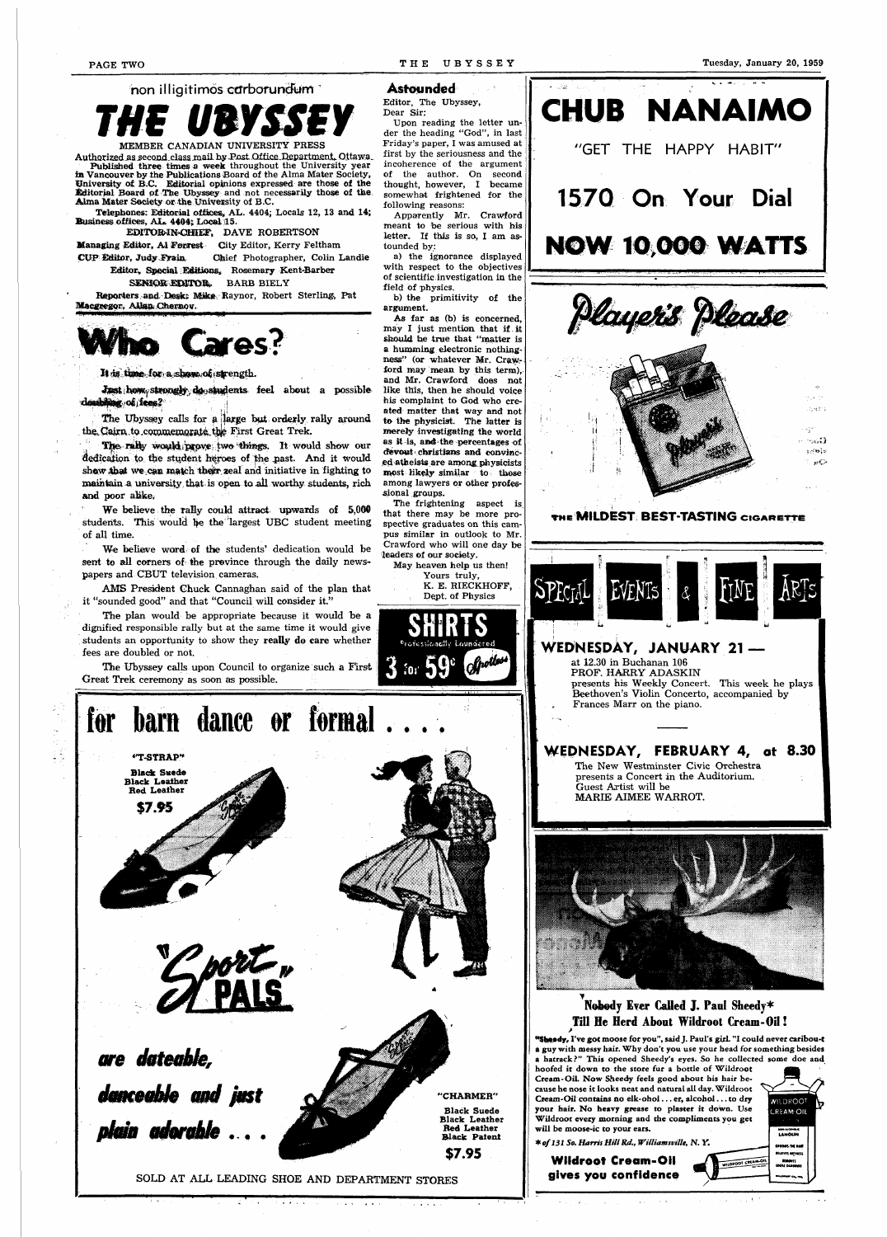### **non i 11 i g i t i mos etrrbof uncfcim "**

*THE UBYSSEY* 

MEMBER CANADIAN UNIVERSITY Authorized as second class mail by Post Office Department, Ottawa. Published three times a week throughout the University year in Vancouver by the Publications Board of the Alma Mater Society, Bniversity of B.C. Editorial opinions expressed are those of the Editorial Board of. The Ubyssey and not necessarily those of the Alma Mater Society or the University of B.C.

Telephones: Editorial offices, AL. 4404; Locals 12, 13 and 14; Business offices, AL. 4404; Local 15.

EDITOR-IN-CHIEF, DAVE ROBERTSON

Managing Editor, Al Forrest City Editor, Kerry Feltham

CUP Editor, Judy Frain. Chief Photographer, Colin Landie

•'. ' • '' ' '' ' *'* ui The Ubyssey calls for a large but orderly rally around the Cairn to commemorate the First Great Trek.

The raily would prove two things. It would show our dedication to the student heroes of the past. And it would show that we can match their zeal and initiative in fighting to maintain a university that is open to all worthy students, rich and poor alike.

We believe the rally could attract upwards of 5,000 students. This would be the largest UBC student meeting of all time.

Editor, Special Editions, Rosemary Kent-Barber

SENIOR EDITOR BARB BIELY

Reporters and Desk: Mike Raynor, Robert Sterling, Pat Macgregor, Allan Chernov.



It is time for a show of strength.

*Just* how strongly do students feel about a possible doubling of fees?

We believe word of the students' dedication would be sent to all corners of the province through the daily newspapers and CBUT television cameras.

The frightening aspect is that there may be more prospective graduates on this campus similar in outlook to Mr. Crawford who will one day be leaders of our society. May heaven help us then!

AMS President Ghuck Cannaghan said of the plan that it "sounded good" and that "Council will consider it."

The plan would be appropriate because it would be a dignified responsible rally but at the same time it would give students an opportunity to show they really do care whether fees are doubled or not.

The Ubyssey calls upon Council to organize such a First Great Trek ceremony as soon as possible.

#### **Astounded**

Editor, The Ubyssey, Dear Sir;

Upon reading the letter under the heading "God", in last Friday's paper, I was amused at first by the seriousness and the incoherence of the argument of the author. On second thought, however, I became somewhat frightened for the following reasons:

> "Sheedy, I've got moose for you", said J. Paul's girl. "I could never caribou-t a guy with messy hair. Why don't you use your head for something besides a hatrack?" This opened Sheedy's eyes. So he collected some doe and

Apparently Mr. Crawford meant to be serious with his letter. If this is so, I am as^ founded by:

a) the ignorance displayed with respect to the objectives of scientific investigation in the field of physics.

b) the primitivity of the argument.

As far as (b) is concerned, may I just mention that [if.it](http://if.it) should be true that "matter is a humming electronic nothingness" (or whatever Mr. Crawford may mean by this term), and Mr, Crawford does not like this, then he should voice his complaint to God who created matter that way and not to the physicist. The latter is merely investigating the world as it is, and the percentages of devout christians and convinced atheists are among, physicists most likely similar to those among lawyers or other professional groups.

> Yours truly, K. E. RIECKHOFF, Dept. of Physics







 $\mathbf{r}$  ,  $\mathbf{r}$  ,  $\mathbf{r}$  ,  $\mathbf{r}$  ,  $\mathbf{r}$ 

 $\sim 200$  M  $_\odot$ 

 $\mathbf{v} = \mathbf{v}_0 + \mathbf{v}_1$ 



**CHUB NANAIMO** 



presents a Concert in the Auditorium. Guest Artist will be MARIE AIMEE WARROT.

### **Nobody Ever Called J. Paul Sheedy\* Till He Herd About Wildroot Cream-Oil**!

hoofed it down to the store fur a bottle of Wildroot Cream-Oil. Now Sheedy feels good about bis hair because he nose it looks neat and natural all day. Wildroot Cream-Oil contains no elk-ohol... er, alcohol... to dry your hair. No heavy grease to plaster it down. Use Wildroot every morning and the compliments you get will be moose-ic to your ears.

\* *of131 So. Harris Hill Rd., Williamsville, N. Y.* 

**Wildroot Cream-Oil gives you confidence** 



 $\Delta \sim 100$  km s  $^{-1}$ 

 $\mathcal{L}_{\rm eff}(\mathbf{f})$  .